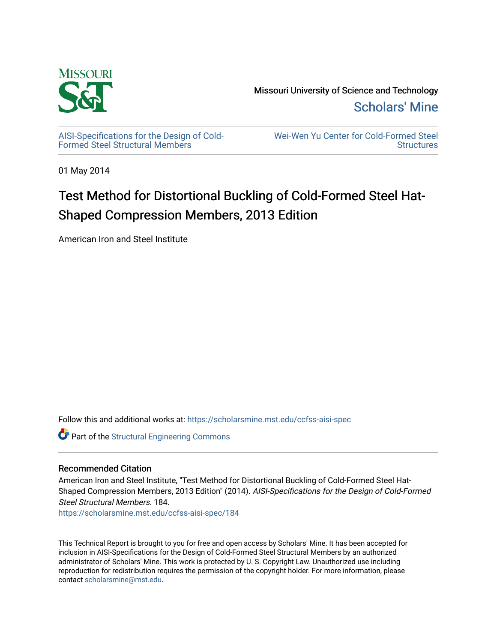

[AISI-Specifications for the Design of Cold-](https://scholarsmine.mst.edu/ccfss-aisi-spec)[Formed Steel Structural Members](https://scholarsmine.mst.edu/ccfss-aisi-spec)

[Wei-Wen Yu Center for Cold-Formed Steel](https://scholarsmine.mst.edu/ccfss)  **Structures** 

01 May 2014

## Test Method for Distortional Buckling of Cold-Formed Steel Hat-Shaped Compression Members, 2013 Edition

American Iron and Steel Institute

Follow this and additional works at: [https://scholarsmine.mst.edu/ccfss-aisi-spec](https://scholarsmine.mst.edu/ccfss-aisi-spec?utm_source=scholarsmine.mst.edu%2Fccfss-aisi-spec%2F184&utm_medium=PDF&utm_campaign=PDFCoverPages) 

**Part of the Structural Engineering Commons** 

#### Recommended Citation

American Iron and Steel Institute, "Test Method for Distortional Buckling of Cold-Formed Steel Hat-Shaped Compression Members, 2013 Edition" (2014). AISI-Specifications for the Design of Cold-Formed Steel Structural Members. 184.

[https://scholarsmine.mst.edu/ccfss-aisi-spec/184](https://scholarsmine.mst.edu/ccfss-aisi-spec/184?utm_source=scholarsmine.mst.edu%2Fccfss-aisi-spec%2F184&utm_medium=PDF&utm_campaign=PDFCoverPages) 

This Technical Report is brought to you for free and open access by Scholars' Mine. It has been accepted for inclusion in AISI-Specifications for the Design of Cold-Formed Steel Structural Members by an authorized administrator of Scholars' Mine. This work is protected by U. S. Copyright Law. Unauthorized use including reproduction for redistribution requires the permission of the copyright holder. For more information, please contact [scholarsmine@mst.edu](mailto:scholarsmine@mst.edu).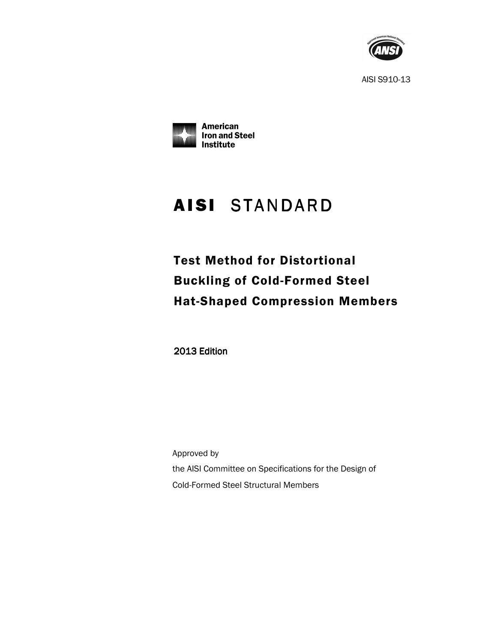

AISI S910-13



# **AISI** STANDARD

# Test Method for Distortional Buckling of Cold-Formed Steel Hat-Shaped Compression Members

2013Edition

Approved by the AISI Committee on Specifications for the Design of Cold-Formed Steel Structural Members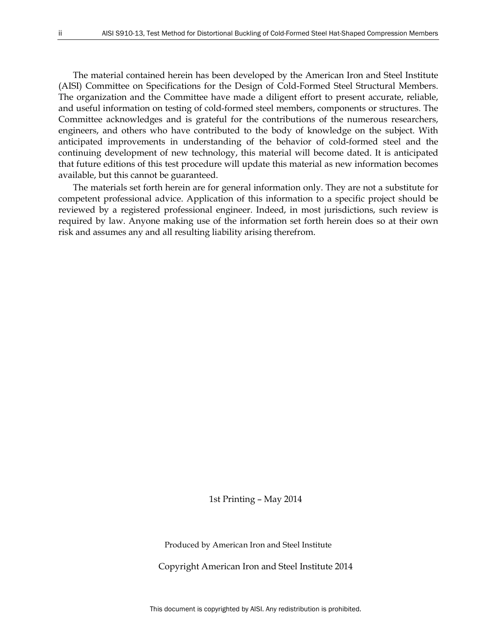The material contained herein has been developed by the American Iron and Steel Institute (AISI) Committee on Specifications for the Design of Cold-Formed Steel Structural Members. The organization and the Committee have made a diligent effort to present accurate, reliable, and useful information on testing of cold-formed steel members, components or structures. The Committee acknowledges and is grateful for the contributions of the numerous researchers, engineers, and others who have contributed to the body of knowledge on the subject. With anticipated improvements in understanding of the behavior of cold-formed steel and the continuing development of new technology, this material will become dated. It is anticipated that future editions of this test procedure will update this material as new information becomes available, but this cannot be guaranteed.

The materials set forth herein are for general information only. They are not a substitute for competent professional advice. Application of this information to a specific project should be reviewed by a registered professional engineer. Indeed, in most jurisdictions, such review is required by law. Anyone making use of the information set forth herein does so at their own risk and assumes any and all resulting liability arising therefrom.

1st Printing – May 2014

Produced by American Iron and Steel Institute

Copyright American Iron and Steel Institute 2014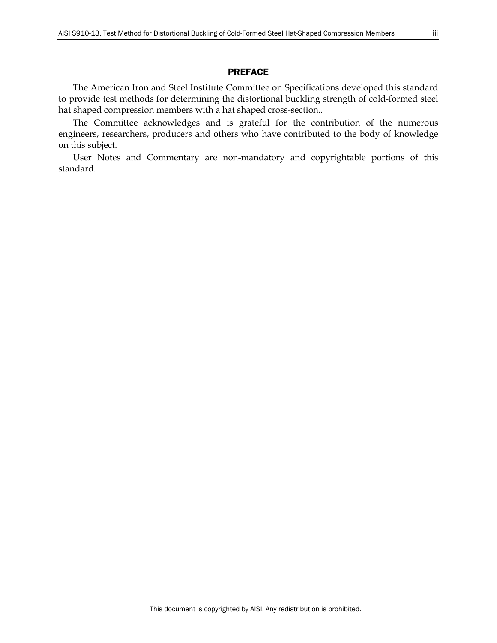#### PREFACE

The American Iron and Steel Institute Committee on Specifications developed this standard to provide test methods for determining the distortional buckling strength of cold-formed steel hat shaped compression members with a hat shaped cross-section..

The Committee acknowledges and is grateful for the contribution of the numerous engineers, researchers, producers and others who have contributed to the body of knowledge on this subject.

User Notes and Commentary are non-mandatory and copyrightable portions of this standard.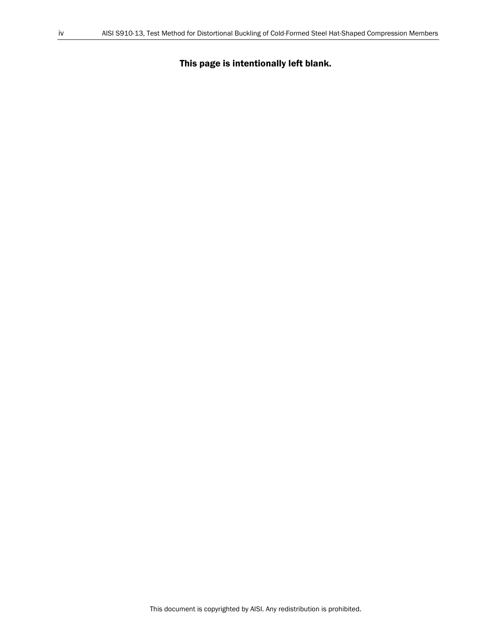### This page is intentionally left blank.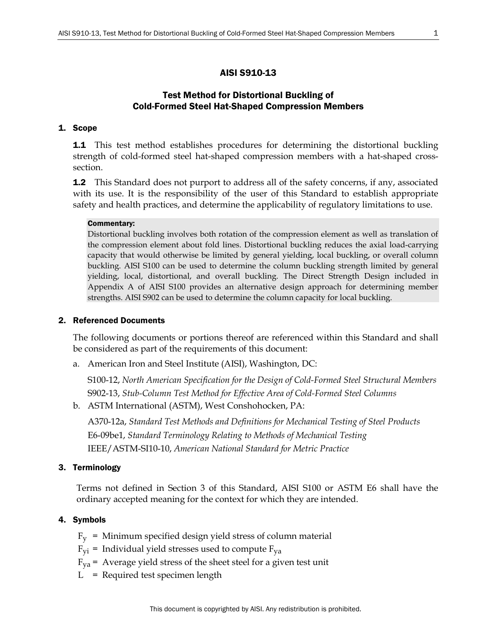#### AISI S910-13

### Test Method for Distortional Buckling of Cold-Formed Steel Hat-Shaped Compression Members

#### 1. Scope

**1.1** This test method establishes procedures for determining the distortional buckling strength of cold-formed steel hat-shaped compression members with a hat-shaped crosssection.

**1.2** This Standard does not purport to address all of the safety concerns, if any, associated with its use. It is the responsibility of the user of this Standard to establish appropriate safety and health practices, and determine the applicability of regulatory limitations to use.

#### Commentary:

Distortional buckling involves both rotation of the compression element as well as translation of the compression element about fold lines. Distortional buckling reduces the axial load-carrying capacity that would otherwise be limited by general yielding, local buckling, or overall column buckling. AISI S100 can be used to determine the column buckling strength limited by general yielding, local, distortional, and overall buckling. The Direct Strength Design included in Appendix A of AISI S100 provides an alternative design approach for determining member strengths. AISI S902 can be used to determine the column capacity for local buckling.

#### 2. Referenced Documents

The following documents or portions thereof are referenced within this Standard and shall be considered as part of the requirements of this document:

a. American Iron and Steel Institute (AISI), Washington, DC:

 S100-12, *North American Specification for the Design of Cold-Formed Steel Structural Members* S902-13, *Stub-Column Test Method for Effective Area of Cold-Formed Steel Columns*

b. ASTM International (ASTM), West Conshohocken, PA:

 A370-12a, *Standard Test Methods and Definitions for Mechanical Testing of Steel Products* E6-09be1, *Standard Terminology Relating to Methods of Mechanical Testing* IEEE/ASTM-SI10-10, *American National Standard for Metric Practice*

#### 3. Terminology

Terms not defined in Section 3 of this Standard, AISI S100 or ASTM E6 shall have the ordinary accepted meaning for the context for which they are intended.

#### 4. Symbols

- $F_v$  = Minimum specified design yield stress of column material
- $F_{\rm vi}$  = Individual yield stresses used to compute  $F_{\rm va}$
- $F<sub>va</sub>$  = Average yield stress of the sheet steel for a given test unit
- $L$  = Required test specimen length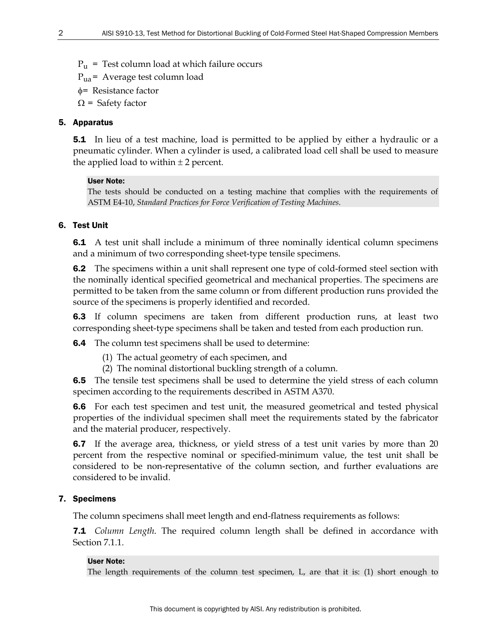- $P_u$  = Test column load at which failure occurs
- P<sub>ua</sub> = Average test column load
- $φ=$  Resistance factor
- $\Omega$  = Safety factor

#### 5. Apparatus

**5.1** In lieu of a test machine, load is permitted to be applied by either a hydraulic or a pneumatic cylinder. When a cylinder is used, a calibrated load cell shall be used to measure the applied load to within  $\pm 2$  percent.

#### User Note:

The tests should be conducted on a testing machine that complies with the requirements of ASTM E4-10, *Standard Practices for Force Verification of Testing Machines*.

#### 6. Test Unit

**6.1** A test unit shall include a minimum of three nominally identical column specimens and a minimum of two corresponding sheet-type tensile specimens.

**6.2** The specimens within a unit shall represent one type of cold-formed steel section with the nominally identical specified geometrical and mechanical properties. The specimens are permitted to be taken from the same column or from different production runs provided the source of the specimens is properly identified and recorded.

6.3 If column specimens are taken from different production runs, at least two corresponding sheet-type specimens shall be taken and tested from each production run.

**6.4** The column test specimens shall be used to determine:

- (1) The actual geometry of each specimen, and
- (2) The nominal distortional buckling strength of a column.

6.5 The tensile test specimens shall be used to determine the yield stress of each column specimen according to the requirements described in ASTM A370.

6.6 For each test specimen and test unit, the measured geometrical and tested physical properties of the individual specimen shall meet the requirements stated by the fabricator and the material producer, respectively.

**6.7** If the average area, thickness, or yield stress of a test unit varies by more than 20 percent from the respective nominal or specified-minimum value, the test unit shall be considered to be non-representative of the column section, and further evaluations are considered to be invalid.

#### 7. Specimens

The column specimens shall meet length and end-flatness requirements as follows:

7.1 *Column Length*. The required column length shall be defined in accordance with Section 7.1.1.

#### User Note:

The length requirements of the column test specimen, L, are that it is: (1) short enough to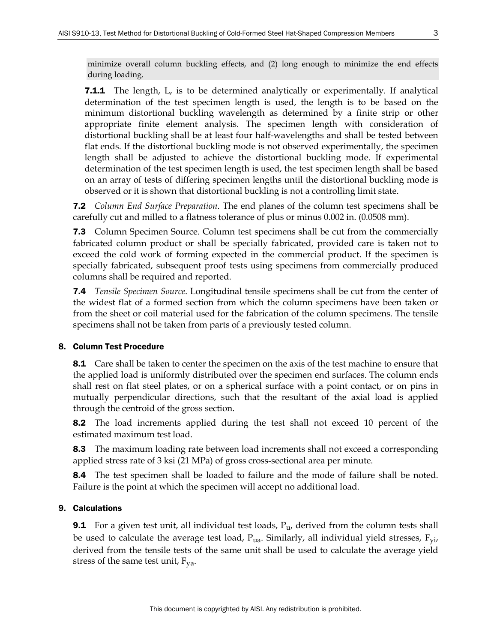minimize overall column buckling effects, and (2) long enough to minimize the end effects during loading.

**7.1.1** The length, L, is to be determined analytically or experimentally. If analytical determination of the test specimen length is used, the length is to be based on the minimum distortional buckling wavelength as determined by a finite strip or other appropriate finite element analysis. The specimen length with consideration of distortional buckling shall be at least four half-wavelengths and shall be tested between flat ends. If the distortional buckling mode is not observed experimentally, the specimen length shall be adjusted to achieve the distortional buckling mode. If experimental determination of the test specimen length is used, the test specimen length shall be based on an array of tests of differing specimen lengths until the distortional buckling mode is observed or it is shown that distortional buckling is not a controlling limit state.

7.2 *Column End Surface Preparation*. The end planes of the column test specimens shall be carefully cut and milled to a flatness tolerance of plus or minus 0.002 in. (0.0508 mm).

**7.3** Column Specimen Source. Column test specimens shall be cut from the commercially fabricated column product or shall be specially fabricated, provided care is taken not to exceed the cold work of forming expected in the commercial product. If the specimen is specially fabricated, subsequent proof tests using specimens from commercially produced columns shall be required and reported.

7.4 *Tensile Specimen Source*. Longitudinal tensile specimens shall be cut from the center of the widest flat of a formed section from which the column specimens have been taken or from the sheet or coil material used for the fabrication of the column specimens. The tensile specimens shall not be taken from parts of a previously tested column.

#### 8. Column Test Procedure

**8.1** Care shall be taken to center the specimen on the axis of the test machine to ensure that the applied load is uniformly distributed over the specimen end surfaces. The column ends shall rest on flat steel plates, or on a spherical surface with a point contact, or on pins in mutually perpendicular directions, such that the resultant of the axial load is applied through the centroid of the gross section.

**8.2** The load increments applied during the test shall not exceed 10 percent of the estimated maximum test load.

**8.3** The maximum loading rate between load increments shall not exceed a corresponding applied stress rate of 3 ksi (21 MPa) of gross cross-sectional area per minute.

**8.4** The test specimen shall be loaded to failure and the mode of failure shall be noted. Failure is the point at which the specimen will accept no additional load.

#### 9. Calculations

**9.1** For a given test unit, all individual test loads,  $P_u$ , derived from the column tests shall be used to calculate the average test load,  $P_{ua}$ . Similarly, all individual yield stresses,  $F_{vi}$ , derived from the tensile tests of the same unit shall be used to calculate the average yield stress of the same test unit,  $F_{\text{va}}$ .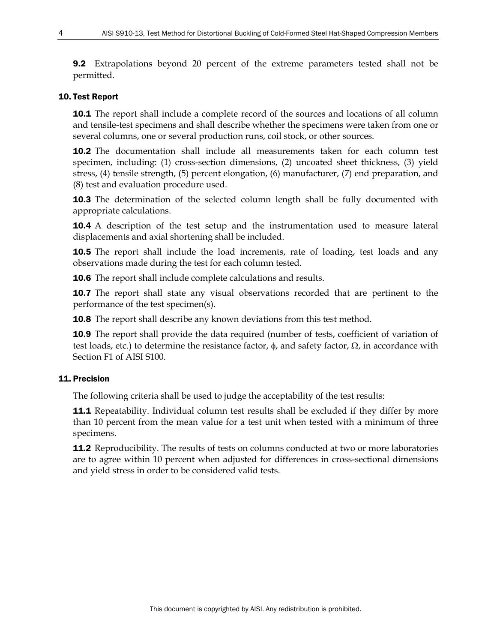9.2 Extrapolations beyond 20 percent of the extreme parameters tested shall not be permitted.

#### 10. Test Report

**10.1** The report shall include a complete record of the sources and locations of all column and tensile-test specimens and shall describe whether the specimens were taken from one or several columns, one or several production runs, coil stock, or other sources.

**10.2** The documentation shall include all measurements taken for each column test specimen, including: (1) cross-section dimensions, (2) uncoated sheet thickness, (3) yield stress, (4) tensile strength, (5) percent elongation, (6) manufacturer, (7) end preparation, and (8) test and evaluation procedure used.

**10.3** The determination of the selected column length shall be fully documented with appropriate calculations.

**10.4** A description of the test setup and the instrumentation used to measure lateral displacements and axial shortening shall be included.

**10.5** The report shall include the load increments, rate of loading, test loads and any observations made during the test for each column tested.

**10.6** The report shall include complete calculations and results.

**10.7** The report shall state any visual observations recorded that are pertinent to the performance of the test specimen(s).

**10.8** The report shall describe any known deviations from this test method.

**10.9** The report shall provide the data required (number of tests, coefficient of variation of test loads, etc.) to determine the resistance factor,  $\phi$ , and safety factor,  $\Omega$ , in accordance with Section F1 of AISI S100.

#### 11. Precision

The following criteria shall be used to judge the acceptability of the test results:

**11.1** Repeatability. Individual column test results shall be excluded if they differ by more than 10 percent from the mean value for a test unit when tested with a minimum of three specimens.

**11.2** Reproducibility. The results of tests on columns conducted at two or more laboratories are to agree within 10 percent when adjusted for differences in cross-sectional dimensions and yield stress in order to be considered valid tests.